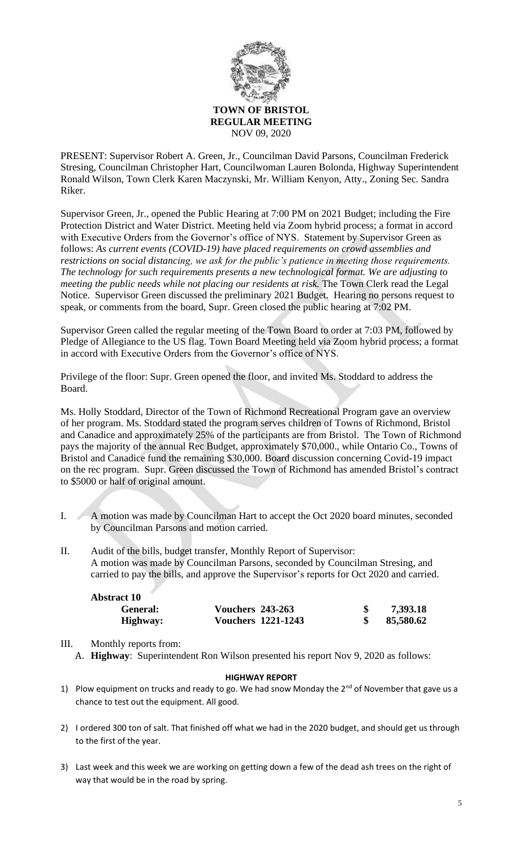

PRESENT: Supervisor Robert A. Green, Jr., Councilman David Parsons, Councilman Frederick Stresing, Councilman Christopher Hart, Councilwoman Lauren Bolonda, Highway Superintendent Ronald Wilson, Town Clerk Karen Maczynski, Mr. William Kenyon, Atty., Zoning Sec. Sandra Riker.

Supervisor Green, Jr., opened the Public Hearing at 7:00 PM on 2021 Budget; including the Fire Protection District and Water District. Meeting held via Zoom hybrid process; a format in accord with Executive Orders from the Governor's office of NYS. Statement by Supervisor Green as follows: *As current events (COVID-19) have placed requirements on crowd assemblies and restrictions on social distancing, we ask for the public's patience in meeting those requirements. The technology for such requirements presents a new technological format. We are adjusting to meeting the public needs while not placing our residents at risk.* The Town Clerk read the Legal Notice. Supervisor Green discussed the preliminary 2021 Budget. Hearing no persons request to speak, or comments from the board, Supr. Green closed the public hearing at 7:02 PM.

Supervisor Green called the regular meeting of the Town Board to order at 7:03 PM, followed by Pledge of Allegiance to the US flag. Town Board Meeting held via Zoom hybrid process; a format in accord with Executive Orders from the Governor's office of NYS.

Privilege of the floor: Supr. Green opened the floor, and invited Ms. Stoddard to address the Board.

Ms. Holly Stoddard, Director of the Town of Richmond Recreational Program gave an overview of her program. Ms. Stoddard stated the program serves children of Towns of Richmond, Bristol and Canadice and approximately 25% of the participants are from Bristol. The Town of Richmond pays the majority of the annual Rec Budget, approximately \$70,000., while Ontario Co., Towns of Bristol and Canadice fund the remaining \$30,000. Board discussion concerning Covid-19 impact on the rec program. Supr. Green discussed the Town of Richmond has amended Bristol's contract to \$5000 or half of original amount.

- I. A motion was made by Councilman Hart to accept the Oct 2020 board minutes, seconded by Councilman Parsons and motion carried.
- II. Audit of the bills, budget transfer, Monthly Report of Supervisor: A motion was made by Councilman Parsons, seconded by Councilman Stresing, and carried to pay the bills, and approve the Supervisor's reports for Oct 2020 and carried.

| <b>Abstract 10</b> |                         |                           |           |
|--------------------|-------------------------|---------------------------|-----------|
| General:           | <b>Vouchers 243-263</b> |                           | 7,393.18  |
| Highway:           |                         | <b>Vouchers 1221-1243</b> | 85,580.62 |

## III. Monthly reports from:

A. **Highway**: Superintendent Ron Wilson presented his report Nov 9, 2020 as follows:

## **HIGHWAY REPORT**

- 1) Plow equipment on trucks and ready to go. We had snow Monday the  $2^{nd}$  of November that gave us a chance to test out the equipment. All good.
- 2) I ordered 300 ton of salt. That finished off what we had in the 2020 budget, and should get us through to the first of the year.
- 3) Last week and this week we are working on getting down a few of the dead ash trees on the right of way that would be in the road by spring.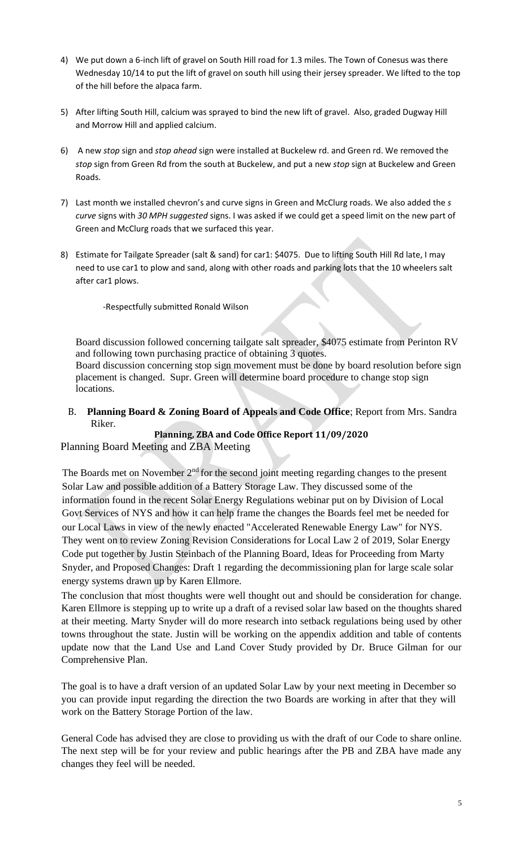- 4) We put down a 6-inch lift of gravel on South Hill road for 1.3 miles. The Town of Conesus was there Wednesday 10/14 to put the lift of gravel on south hill using their jersey spreader. We lifted to the top of the hill before the alpaca farm.
- 5) After lifting South Hill, calcium was sprayed to bind the new lift of gravel. Also, graded Dugway Hill and Morrow Hill and applied calcium.
- 6) A new *stop* sign and *stop ahead* sign were installed at Buckelew rd. and Green rd. We removed the *stop* sign from Green Rd from the south at Buckelew, and put a new *stop* sign at Buckelew and Green Roads.
- 7) Last month we installed chevron's and curve signs in Green and McClurg roads. We also added the *s curve* signs with *30 MPH suggested* signs. I was asked if we could get a speed limit on the new part of Green and McClurg roads that we surfaced this year.
- 8) Estimate for Tailgate Spreader (salt & sand) for car1: \$4075. Due to lifting South Hill Rd late, I may need to use car1 to plow and sand, along with other roads and parking lots that the 10 wheelers salt after car1 plows.

-Respectfully submitted Ronald Wilson

Board discussion followed concerning tailgate salt spreader, \$4075 estimate from Perinton RV and following town purchasing practice of obtaining 3 quotes.

Board discussion concerning stop sign movement must be done by board resolution before sign placement is changed. Supr. Green will determine board procedure to change stop sign locations.

B. **Planning Board & Zoning Board of Appeals and Code Office**; Report from Mrs. Sandra Riker.

**Planning, ZBA and Code Office Report 11/09/2020**

Planning Board Meeting and ZBA Meeting

The Boards met on November  $2<sup>nd</sup>$  for the second joint meeting regarding changes to the present Solar Law and possible addition of a Battery Storage Law. They discussed some of the information found in the recent Solar Energy Regulations webinar put on by Division of Local Govt Services of NYS and how it can help frame the changes the Boards feel met be needed for our Local Laws in view of the newly enacted "Accelerated Renewable Energy Law" for NYS. They went on to review Zoning Revision Considerations for Local Law 2 of 2019, Solar Energy Code put together by Justin Steinbach of the Planning Board, Ideas for Proceeding from Marty Snyder, and Proposed Changes: Draft 1 regarding the decommissioning plan for large scale solar energy systems drawn up by Karen Ellmore.

The conclusion that most thoughts were well thought out and should be consideration for change. Karen Ellmore is stepping up to write up a draft of a revised solar law based on the thoughts shared at their meeting. Marty Snyder will do more research into setback regulations being used by other towns throughout the state. Justin will be working on the appendix addition and table of contents update now that the Land Use and Land Cover Study provided by Dr. Bruce Gilman for our Comprehensive Plan.

The goal is to have a draft version of an updated Solar Law by your next meeting in December so you can provide input regarding the direction the two Boards are working in after that they will work on the Battery Storage Portion of the law.

General Code has advised they are close to providing us with the draft of our Code to share online. The next step will be for your review and public hearings after the PB and ZBA have made any changes they feel will be needed.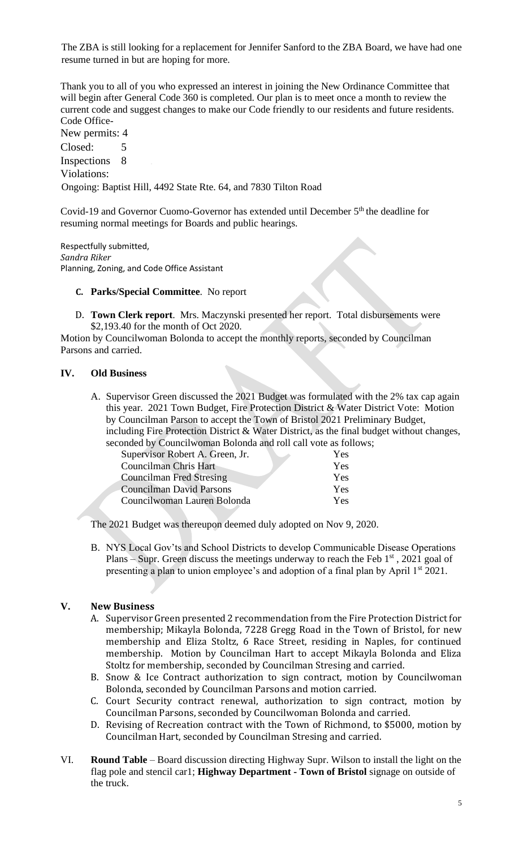The ZBA is still looking for a replacement for Jennifer Sanford to the ZBA Board, we have had one resume turned in but are hoping for more.

Thank you to all of you who expressed an interest in joining the New Ordinance Committee that will begin after General Code 360 is completed. Our plan is to meet once a month to review the current code and suggest changes to make our Code friendly to our residents and future residents. Code Office-New permits: 4

Closed: 5 Inspections 8 Violations: Ongoing: Baptist Hill, 4492 State Rte. 64, and 7830 Tilton Road

Covid-19 and Governor Cuomo-Governor has extended until December 5th the deadline for resuming normal meetings for Boards and public hearings.

Respectfully submitted, *Sandra Riker* Planning, Zoning, and Code Office Assistant

#### **C. Parks/Special Committee**. No report

D. **Town Clerk report**. Mrs. Maczynski presented her report. Total disbursements were \$2,193.40 for the month of Oct 2020.

Motion by Councilwoman Bolonda to accept the monthly reports, seconded by Councilman Parsons and carried.

## **IV. Old Business**

A. Supervisor Green discussed the 2021 Budget was formulated with the 2% tax cap again this year. 2021 Town Budget, Fire Protection District & Water District Vote: Motion by Councilman Parson to accept the Town of Bristol 2021 Preliminary Budget, including Fire Protection District & Water District, as the final budget without changes, seconded by Councilwoman Bolonda and roll call vote as follows;

| onaca o'i Council woman Dolonaa ana fon can volc as for |     |
|---------------------------------------------------------|-----|
| Supervisor Robert A. Green, Jr.                         | Yes |
| <b>Councilman Chris Hart</b>                            | Yes |
| <b>Councilman Fred Stresing</b>                         | Yes |
| <b>Councilman David Parsons</b>                         | Yes |
| Councilwoman Lauren Bolonda                             | Yes |
|                                                         |     |

The 2021 Budget was thereupon deemed duly adopted on Nov 9, 2020.

B. NYS Local Gov'ts and School Districts to develop Communicable Disease Operations Plans – Supr. Green discuss the meetings underway to reach the Feb  $1<sup>st</sup>$ , 2021 goal of presenting a plan to union employee's and adoption of a final plan by April 1<sup>st</sup> 2021.

# **V. New Business**

- A. Supervisor Green presented 2 recommendation from the Fire Protection District for membership; Mikayla Bolonda, 7228 Gregg Road in the Town of Bristol, for new membership and Eliza Stoltz, 6 Race Street, residing in Naples, for continued membership. Motion by Councilman Hart to accept Mikayla Bolonda and Eliza Stoltz for membership, seconded by Councilman Stresing and carried.
- B. Snow & Ice Contract authorization to sign contract, motion by Councilwoman Bolonda, seconded by Councilman Parsons and motion carried.
- C. Court Security contract renewal, authorization to sign contract, motion by Councilman Parsons, seconded by Councilwoman Bolonda and carried.
- D. Revising of Recreation contract with the Town of Richmond, to \$5000, motion by Councilman Hart, seconded by Councilman Stresing and carried.
- VI. **Round Table** Board discussion directing Highway Supr. Wilson to install the light on the flag pole and stencil car1; **Highway Department - Town of Bristol** signage on outside of the truck.